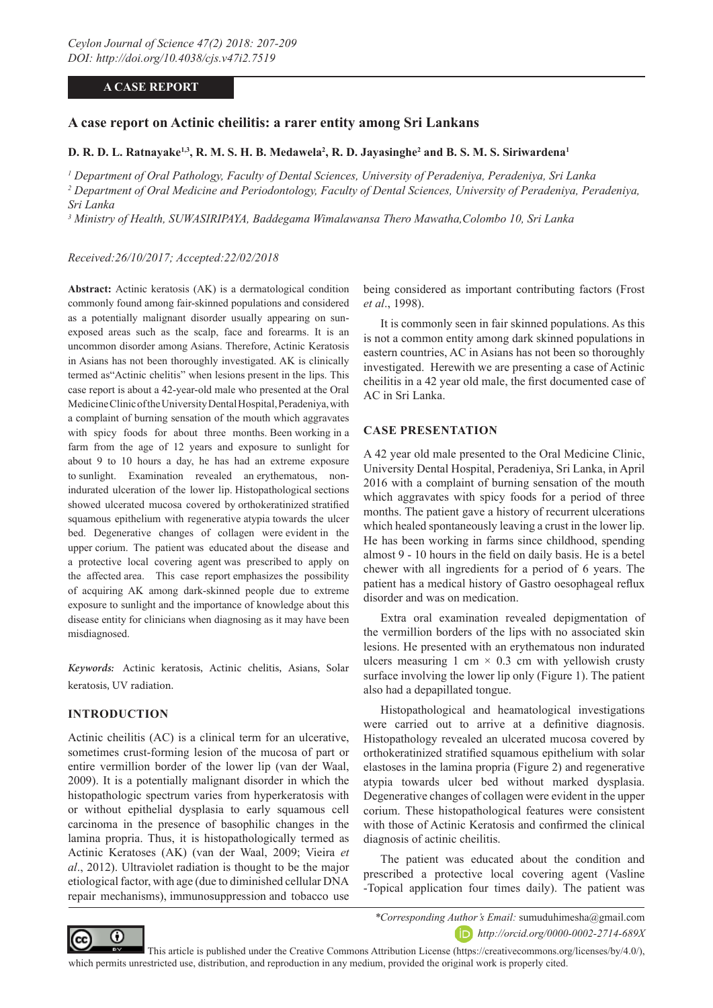# **A CASE REPORT**

### **A case report on Actinic cheilitis: a rarer entity among Sri Lankans**

#### **D. R. D. L. Ratnayake<sup>1,3</sup>, R. M. S. H. B. Medawela<sup>2</sup>, R. D. Jayasinghe<sup>2</sup> and B. S. M. S. Siriwardena<sup>1</sup>**

*1 Department of Oral Pathology, Faculty of Dental Sciences, University of Peradeniya, Peradeniya, Sri Lanka*  <sup>2</sup> Department of Oral Medicine and Periodontology, Faculty of Dental Sciences, University of Peradeniya, Peradeniya, *Sri Lanka*

*3 Ministry of Health, SUWASIRIPAYA, Baddegama Wimalawansa Thero Mawatha,Colombo 10, Sri Lanka*

#### *Received:26/10/2017; Accepted:22/02/2018*

**Abstract:** Actinic keratosis (AK) is a dermatological condition commonly found among fair-skinned populations and considered as a potentially malignant disorder usually appearing on sunexposed areas such as the scalp, face and forearms. It is an uncommon disorder among Asians. Therefore, Actinic Keratosis in Asians has not been thoroughly investigated. AK is clinically termed as"Actinic chelitis" when lesions present in the lips. This case report is about a 42-year-old male who presented at the Oral Medicine Clinic of the University Dental Hospital, Peradeniya, with a complaint of burning sensation of the mouth which aggravates with spicy foods for about three months. Been working in a farm from the age of 12 years and exposure to sunlight for about 9 to 10 hours a day, he has had an extreme exposure to sunlight. Examination revealed an erythematous, nonindurated ulceration of the lower lip. Histopathological sections showed ulcerated mucosa covered by orthokeratinized stratified squamous epithelium with regenerative atypia towards the ulcer bed. Degenerative changes of collagen were evident in the upper corium. The patient was educated about the disease and a protective local covering agent was prescribed to apply on the affected area. This case report emphasizes the possibility of acquiring AK among dark-skinned people due to extreme exposure to sunlight and the importance of knowledge about this disease entity for clinicians when diagnosing as it may have been misdiagnosed.

*Keywords:* Actinic keratosis, Actinic chelitis, Asians, Solar keratosis, UV radiation.

#### **INTRODUCTION**

Actinic cheilitis (AC) is a clinical term for an ulcerative, sometimes crust-forming lesion of the mucosa of part or entire vermillion border of the lower lip (van der Waal, 2009). It is a potentially malignant disorder in which the histopathologic spectrum varies from hyperkeratosis with or without epithelial dysplasia to early squamous cell carcinoma in the presence of basophilic changes in the lamina propria. Thus, it is histopathologically termed as Actinic Keratoses (AK) (van der Waal, 2009; Vieira *et al*., 2012). Ultraviolet radiation is thought to be the major etiological factor, with age (due to diminished cellular DNA repair mechanisms), immunosuppression and tobacco use

being considered as important contributing factors (Frost *et al*., 1998).

It is commonly seen in fair skinned populations. As this is not a common entity among dark skinned populations in eastern countries, AC in Asians has not been so thoroughly investigated. Herewith we are presenting a case of Actinic cheilitis in a 42 year old male, the first documented case of AC in Sri Lanka.

#### **CASE PRESENTATION**

A 42 year old male presented to the Oral Medicine Clinic, University Dental Hospital, Peradeniya, Sri Lanka, in April 2016 with a complaint of burning sensation of the mouth which aggravates with spicy foods for a period of three months. The patient gave a history of recurrent ulcerations which healed spontaneously leaving a crust in the lower lip. He has been working in farms since childhood, spending almost 9 - 10 hours in the field on daily basis. He is a betel chewer with all ingredients for a period of 6 years. The patient has a medical history of Gastro oesophageal reflux disorder and was on medication.

Extra oral examination revealed depigmentation of the vermillion borders of the lips with no associated skin lesions. He presented with an erythematous non indurated ulcers measuring 1 cm  $\times$  0.3 cm with yellowish crusty surface involving the lower lip only (Figure 1). The patient also had a depapillated tongue.

Histopathological and heamatological investigations were carried out to arrive at a definitive diagnosis. Histopathology revealed an ulcerated mucosa covered by orthokeratinized stratified squamous epithelium with solar elastoses in the lamina propria (Figure 2) and regenerative atypia towards ulcer bed without marked dysplasia. Degenerative changes of collagen were evident in the upper corium. These histopathological features were consistent with those of Actinic Keratosis and confirmed the clinical diagnosis of actinic cheilitis.

The patient was educated about the condition and prescribed a protective local covering agent (Vasline -Topical application four times daily). The patient was



*\*Corresponding Author's Email:* sumuduhimesha@gmail.com *http://orcid.org/0000-0002-2714-689X*

 This article is published under the Creative Commons Attribution License (https://creativecommons.org/licenses/by/4.0/), which permits unrestricted use, distribution, and reproduction in any medium, provided the original work is properly cited.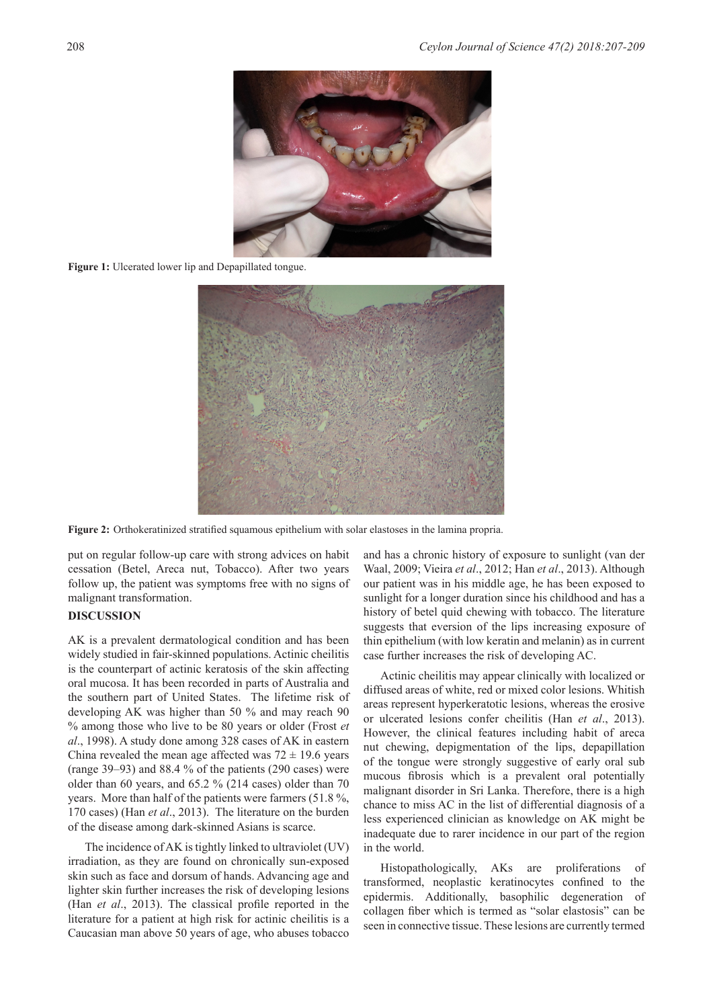

Figure 1: Ulcerated lower lip and Depapillated tongue.



**Figure 2:** Orthokeratinized stratified squamous epithelium with solar elastoses in the lamina propria.

put on regular follow-up care with strong advices on habit cessation (Betel, Areca nut, Tobacco). After two years follow up, the patient was symptoms free with no signs of malignant transformation.

#### **DISCUSSION**

AK is a prevalent dermatological condition and has been widely studied in fair-skinned populations. Actinic cheilitis is the counterpart of actinic keratosis of the skin affecting oral mucosa. It has been recorded in parts of Australia and the southern part of United States. The lifetime risk of developing AK was higher than 50 % and may reach 90 % among those who live to be 80 years or older (Frost *et al*., 1998). A study done among 328 cases of AK in eastern China revealed the mean age affected was  $72 \pm 19.6$  years (range 39–93) and 88.4 % of the patients (290 cases) were older than 60 years, and 65.2 % (214 cases) older than 70 years. More than half of the patients were farmers (51.8 %, 170 cases) (Han *et al*., 2013). The literature on the burden of the disease among dark-skinned Asians is scarce.

The incidence of AK is tightly linked to ultraviolet (UV) irradiation, as they are found on chronically sun-exposed skin such as face and dorsum of hands. Advancing age and lighter skin further increases the risk of developing lesions (Han *et al*., 2013). The classical profile reported in the literature for a patient at high risk for actinic cheilitis is a Caucasian man above 50 years of age, who abuses tobacco

and has a chronic history of exposure to sunlight (van der Waal, 2009; Vieira *et al*., 2012; Han *et al*., 2013). Although our patient was in his middle age, he has been exposed to sunlight for a longer duration since his childhood and has a history of betel quid chewing with tobacco. The literature suggests that eversion of the lips increasing exposure of thin epithelium (with low keratin and melanin) as in current case further increases the risk of developing AC.

Actinic cheilitis may appear clinically with localized or diffused areas of white, red or mixed color lesions. Whitish areas represent hyperkeratotic lesions, whereas the erosive or ulcerated lesions confer cheilitis (Han *et al*., 2013). However, the clinical features including habit of areca nut chewing, depigmentation of the lips, depapillation of the tongue were strongly suggestive of early oral sub mucous fibrosis which is a prevalent oral potentially malignant disorder in Sri Lanka. Therefore, there is a high chance to miss AC in the list of differential diagnosis of a less experienced clinician as knowledge on AK might be inadequate due to rarer incidence in our part of the region in the world.

Histopathologically, AKs are proliferations of transformed, neoplastic keratinocytes confined to the epidermis. Additionally, basophilic degeneration of collagen fiber which is termed as "solar elastosis" can be seen in connective tissue. These lesions are currently termed